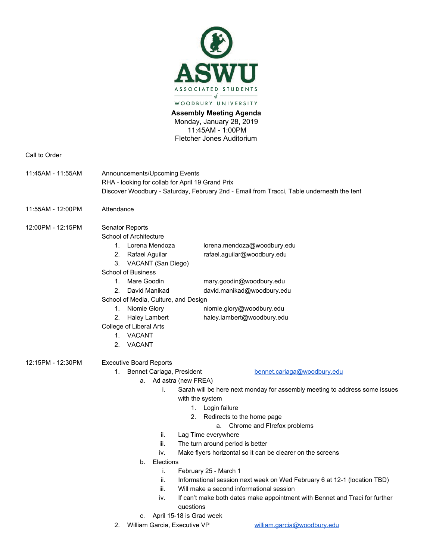

**Assembly Meeting Agenda** Monday, January 28, 2019 11:45AM - 1:00PM Fletcher Jones Auditorium

Call to Order

- 11:45AM 11:55AM Announcements/Upcoming Events RHA - looking for collab for April 19 Grand Prix Discover Woodbury - Saturday, February 2nd - Email from Tracci, Table underneath the tent
- 11:55AM 12:00PM Attendance
- 12:00PM 12:15PM Senator Reports
	- School of Architecture
		- 1. Lorena Mendoza lorena.mendoza@woodbury.edu
		- 2. Rafael Aguilar rafael.aguilar@woodbury.edu
		- 3. VACANT (San Diego)

School of Business

- 1. Mare Goodin mary.goodin@woodbury.edu
	-
- 2. David Manikad david.manikad@woodbury.edu
- School of Media, Culture, and Design
	- 1. Niomie Glory niomie.glory@woodbury.edu
	- 2. Haley Lambert haley.lambert@woodbury.edu
- College of Liberal Arts
	- 1. VACANT
	- 2. VACANT

12:15PM - 12:30PM Executive Board Reports

- - a. Ad astra (new FREA)
		- i. Sarah will be here next monday for assembly meeting to address some issues with the system
			- 1. Login failure
			- 2. Redirects to the home page
				- a. Chrome and FIrefox problems
		- ii. Lag Time everywhere
		- iii. The turn around period is better
		- iv. Make flyers horizontal so it can be clearer on the screens
	- b. Elections
		- i. February 25 March 1
		- ii. Informational session next week on Wed February 6 at 12-1 (location TBD)
		- iii. Will make a second informational session
		- iv. If can't make both dates make appointment with Bennet and Traci for further questions
	- c. April 15-18 is Grad week
- 2. William Garcia, Executive VP [william.garcia@woodbury.edu](mailto:william.garcia@woodbury.edu)
- 1. Bennet Cariaga, President [bennet.cariaga@woodbury.edu](mailto:bennet.cariaga@woodbury.edu)
	-
- 
- 
-